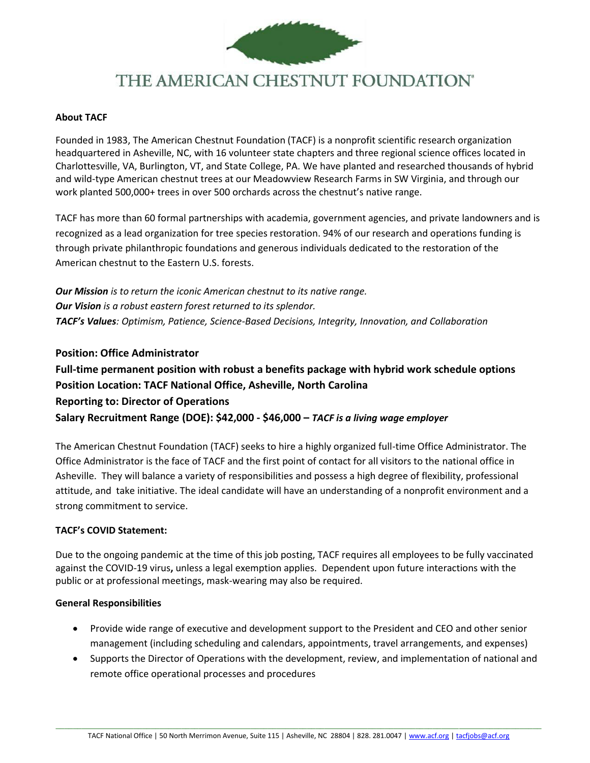

# THE AMERICAN CHESTNUT FOUNDATION®

#### **About TACF**

Founded in 1983, The American Chestnut Foundation (TACF) is a nonprofit scientific research organization headquartered in Asheville, NC, with 16 volunteer state chapters and three regional science offices located in Charlottesville, VA, Burlington, VT, and State College, PA. We have planted and researched thousands of hybrid and wild-type American chestnut trees at our Meadowview Research Farms in SW Virginia, and through our work planted 500,000+ trees in over 500 orchards across the chestnut's native range.

TACF has more than 60 formal partnerships with academia, government agencies, and private landowners and is recognized as a lead organization for tree species restoration. 94% of our research and operations funding is through private philanthropic foundations and generous individuals dedicated to the restoration of the American chestnut to the Eastern U.S. forests.

*Our Mission is to return the iconic American chestnut to its native range. Our Vision is a robust eastern forest returned to its splendor. TACF's Values: Optimism, Patience, Science-Based Decisions, Integrity, Innovation, and Collaboration*

#### **Position: Office Administrator**

# **Full-time permanent position with robust a benefits package with hybrid work schedule options Position Location: TACF National Office, Asheville, North Carolina Reporting to: Director of Operations Salary Recruitment Range (DOE): \$42,000 - \$46,000 –** *TACF is a living wage employer*

The American Chestnut Foundation (TACF) seeks to hire a highly organized full-time Office Administrator. The Office Administrator is the face of TACF and the first point of contact for all visitors to the national office in Asheville. They will balance a variety of responsibilities and possess a high degree of flexibility, professional attitude, and take initiative. The ideal candidate will have an understanding of a nonprofit environment and a strong commitment to service.

#### **TACF's COVID Statement:**

Due to the ongoing pandemic at the time of this job posting, TACF requires all employees to be fully vaccinated against the COVID-19 virus**,** unless a legal exemption applies. Dependent upon future interactions with the public or at professional meetings, mask-wearing may also be required.

#### **General Responsibilities**

- Provide wide range of executive and development support to the President and CEO and other senior management (including scheduling and calendars, appointments, travel arrangements, and expenses)
- Supports the Director of Operations with the development, review, and implementation of national and remote office operational processes and procedures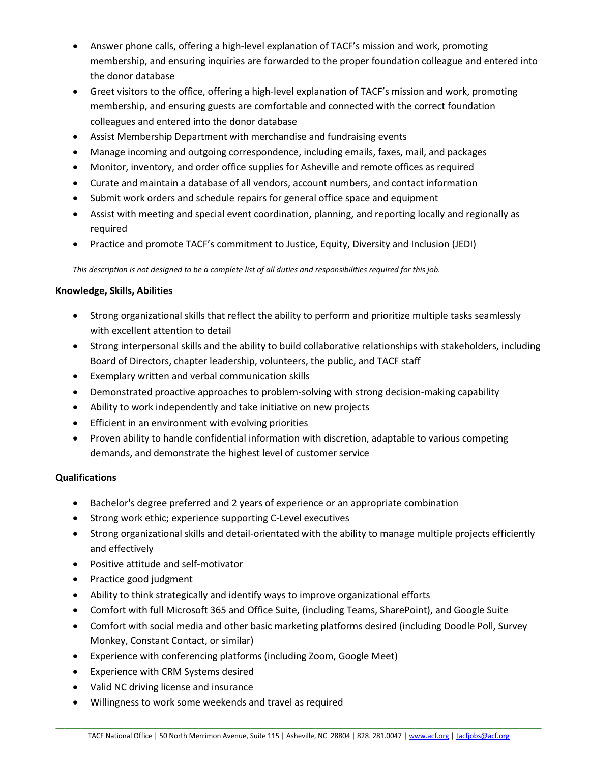- Answer phone calls, offering a high-level explanation of TACF's mission and work, promoting membership, and ensuring inquiries are forwarded to the proper foundation colleague and entered into the donor database
- Greet visitors to the office, offering a high-level explanation of TACF's mission and work, promoting membership, and ensuring guests are comfortable and connected with the correct foundation colleagues and entered into the donor database
- Assist Membership Department with merchandise and fundraising events
- Manage incoming and outgoing correspondence, including emails, faxes, mail, and packages
- Monitor, inventory, and order office supplies for Asheville and remote offices as required
- Curate and maintain a database of all vendors, account numbers, and contact information
- Submit work orders and schedule repairs for general office space and equipment
- Assist with meeting and special event coordination, planning, and reporting locally and regionally as required
- Practice and promote TACF's commitment to Justice, Equity, Diversity and Inclusion (JEDI)

*This description is not designed to be a complete list of all duties and responsibilities required for this job.*

### **Knowledge, Skills, Abilities**

- Strong organizational skills that reflect the ability to perform and prioritize multiple tasks seamlessly with excellent attention to detail
- Strong interpersonal skills and the ability to build collaborative relationships with stakeholders, including Board of Directors, chapter leadership, volunteers, the public, and TACF staff
- Exemplary written and verbal communication skills
- Demonstrated proactive approaches to problem-solving with strong decision-making capability
- Ability to work independently and take initiative on new projects
- Efficient in an environment with evolving priorities
- Proven ability to handle confidential information with discretion, adaptable to various competing demands, and demonstrate the highest level of customer service

## **Qualifications**

- Bachelor's degree preferred and 2 years of experience or an appropriate combination
- Strong work ethic; experience supporting C-Level executives
- Strong organizational skills and detail-orientated with the ability to manage multiple projects efficiently and effectively
- Positive attitude and self-motivator
- Practice good judgment
- Ability to think strategically and identify ways to improve organizational efforts
- Comfort with full Microsoft 365 and Office Suite, (including Teams, SharePoint), and Google Suite
- Comfort with social media and other basic marketing platforms desired (including Doodle Poll, Survey Monkey, Constant Contact, or similar)
- Experience with conferencing platforms (including Zoom, Google Meet)
- Experience with CRM Systems desired
- Valid NC driving license and insurance
- Willingness to work some weekends and travel as required